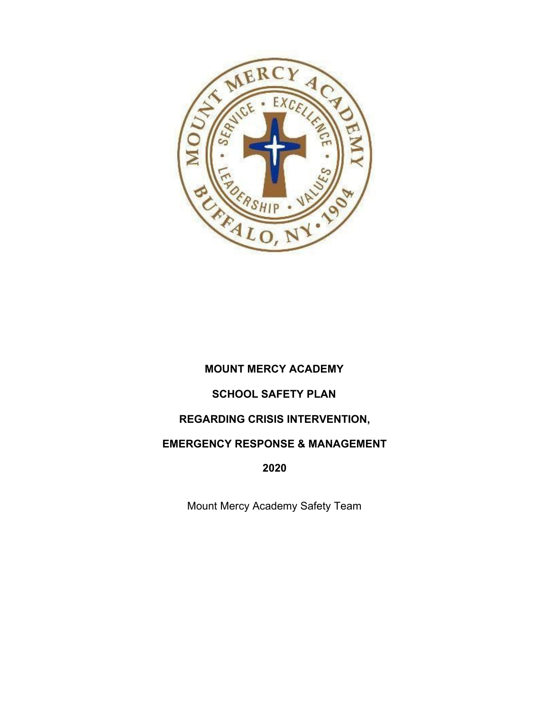

## **MOUNT MERCY ACADEMY**

## **SCHOOL SAFETY PLAN**

## **REGARDING CRISIS INTERVENTION,**

## **EMERGENCY RESPONSE & MANAGEMENT**

**2020**

Mount Mercy Academy Safety Team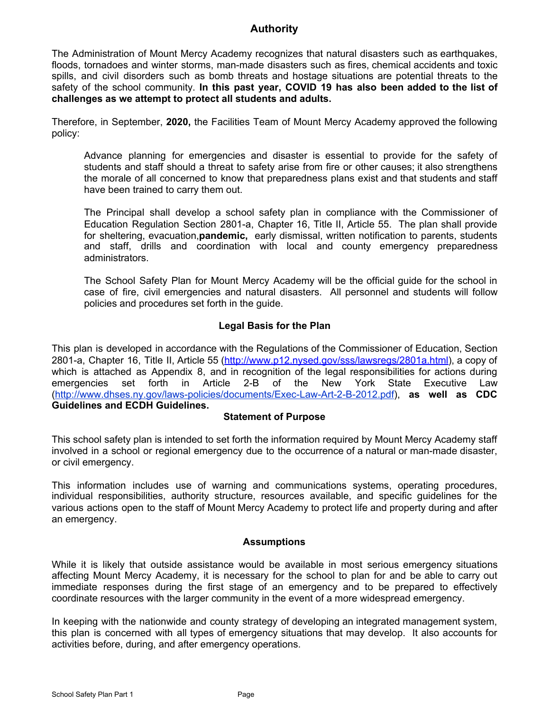#### **Authority**

The Administration of Mount Mercy Academy recognizes that natural disasters such as earthquakes, floods, tornadoes and winter storms, man-made disasters such as fires, chemical accidents and toxic spills, and civil disorders such as bomb threats and hostage situations are potential threats to the safety of the school community. **In this past year, COVID 19 has also been added to the list of challenges as we attempt to protect all students and adults.**

Therefore, in September, **2020,** the Facilities Team of Mount Mercy Academy approved the following policy:

Advance planning for emergencies and disaster is essential to provide for the safety of students and staff should a threat to safety arise from fire or other causes; it also strengthens the morale of all concerned to know that preparedness plans exist and that students and staff have been trained to carry them out.

The Principal shall develop a school safety plan in compliance with the Commissioner of Education Regulation Section 2801-a, Chapter 16, Title II, Article 55. The plan shall provide for sheltering, evacuation,**pandemic,** early dismissal, written notification to parents, students and staff, drills and coordination with local and county emergency preparedness administrators.

The School Safety Plan for Mount Mercy Academy will be the official guide for the school in case of fire, civil emergencies and natural disasters. All personnel and students will follow policies and procedures set forth in the guide.

#### **Legal Basis for the Plan**

This plan is developed in accordance with the Regulations of the Commissioner of Education, Section 2801-a, Chapter 16, Title II, Article 55 ([http://www.p12.nysed.gov/sss/lawsregs/2801a.html\)](http://www.p12.nysed.gov/sss/lawsregs/2801a.html), a copy of which is attached as Appendix 8, and in recognition of the legal responsibilities for actions during emergencies set forth in Article 2-B of the New York State Executive Law ([http://www.dhses.ny.gov/laws-policies/documents/Exec-Law-Art-2-B-2012.pdf\)](http://www.dhses.ny.gov/laws-policies/documents/Exec-Law-Art-2-B-2012.pdf), **as well as CDC Guidelines and ECDH Guidelines.**

#### **Statement of Purpose**

This school safety plan is intended to set forth the information required by Mount Mercy Academy staff involved in a school or regional emergency due to the occurrence of a natural or man-made disaster, or civil emergency.

This information includes use of warning and communications systems, operating procedures, individual responsibilities, authority structure, resources available, and specific guidelines for the various actions open to the staff of Mount Mercy Academy to protect life and property during and after an emergency.

#### **Assumptions**

While it is likely that outside assistance would be available in most serious emergency situations affecting Mount Mercy Academy, it is necessary for the school to plan for and be able to carry out immediate responses during the first stage of an emergency and to be prepared to effectively coordinate resources with the larger community in the event of a more widespread emergency.

In keeping with the nationwide and county strategy of developing an integrated management system, this plan is concerned with all types of emergency situations that may develop. It also accounts for activities before, during, and after emergency operations.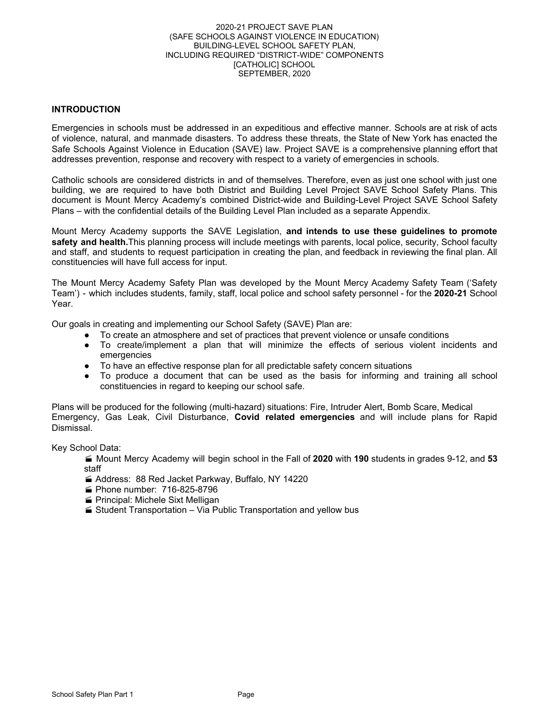#### 2020-21 PROJECT SAVE PLAN (SAFE SCHOOLS AGAINST VIOLENCE IN EDUCATION) BUILDING-LEVEL SCHOOL SAFETY PLAN, INCLUDING REQUIRED "DISTRICT-WIDE" COMPONENTS [CATHOLIC] SCHOOL SEPTEMBER, 2020

#### **INTRODUCTION**

Emergencies in schools must be addressed in an expeditious and effective manner. Schools are at risk of acts of violence, natural, and manmade disasters. To address these threats, the State of New York has enacted the Safe Schools Against Violence in Education (SAVE) law. Project SAVE is a comprehensive planning effort that addresses prevention, response and recovery with respect to a variety of emergencies in schools.

Catholic schools are considered districts in and of themselves. Therefore, even as just one school with just one building, we are required to have both District and Building Level Project SAVE School Safety Plans. This document is Mount Mercy Academy's combined District-wide and Building-Level Project SAVE School Safety Plans – with the confidential details of the Building Level Plan included as a separate Appendix.

Mount Mercy Academy supports the SAVE Legislation, **and intends to use these guidelines to promote safety and health.**This planning process will include meetings with parents, local police, security, School faculty and staff, and students to request participation in creating the plan, and feedback in reviewing the final plan. All constituencies will have full access for input.

The Mount Mercy Academy Safety Plan was developed by the Mount Mercy Academy Safety Team ('Safety Team') - which includes students, family, staff, local police and school safety personnel - for the **2020-21** School Year.

Our goals in creating and implementing our School Safety (SAVE) Plan are:

- To create an atmosphere and set of practices that prevent violence or unsafe conditions
- To create/implement a plan that will minimize the effects of serious violent incidents and emergencies
- To have an effective response plan for all predictable safety concern situations
- To produce a document that can be used as the basis for informing and training all school constituencies in regard to keeping our school safe.

Plans will be produced for the following (multi-hazard) situations: Fire, Intruder Alert, Bomb Scare, Medical Emergency, Gas Leak, Civil Disturbance, **Covid related emergencies** and will include plans for Rapid Dismissal.

Key School Data:

- Mount Mercy Academy will begin school in the Fall of **2020** with **190** students in grades 9-12, and **53** staff
- Address: 88 Red Jacket Parkway, Buffalo, NY 14220
- Phone number: 716-825-8796
- **Principal: Michele Sixt Melligan**
- $\leq$  Student Transportation Via Public Transportation and yellow bus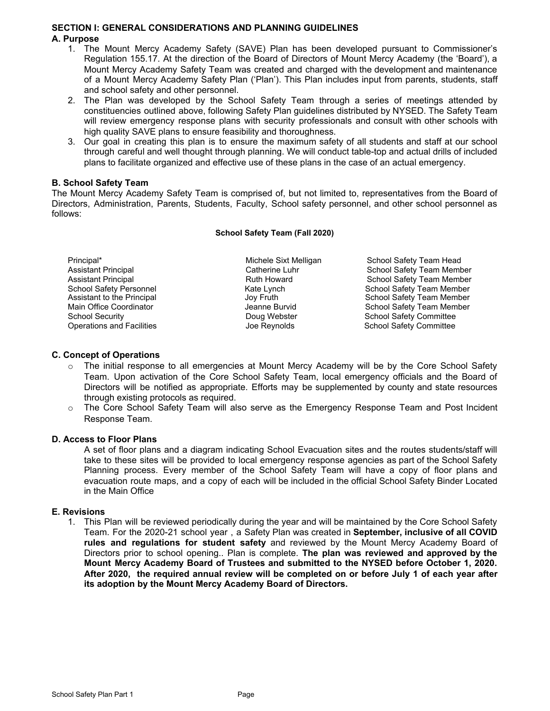#### **SECTION I: GENERAL CONSIDERATIONS AND PLANNING GUIDELINES A. Purpose**

- 1. The Mount Mercy Academy Safety (SAVE) Plan has been developed pursuant to Commissioner's Regulation 155.17. At the direction of the Board of Directors of Mount Mercy Academy (the 'Board'), a Mount Mercy Academy Safety Team was created and charged with the development and maintenance of a Mount Mercy Academy Safety Plan ('Plan'). This Plan includes input from parents, students, staff and school safety and other personnel.
- 2. The Plan was developed by the School Safety Team through a series of meetings attended by constituencies outlined above, following Safety Plan guidelines distributed by NYSED. The Safety Team will review emergency response plans with security professionals and consult with other schools with high quality SAVE plans to ensure feasibility and thoroughness.
- 3. Our goal in creating this plan is to ensure the maximum safety of all students and staff at our school through careful and well thought through planning. We will conduct table-top and actual drills of included plans to facilitate organized and effective use of these plans in the case of an actual emergency.

#### **B. School Safety Team**

The Mount Mercy Academy Safety Team is comprised of, but not limited to, representatives from the Board of Directors, Administration, Parents, Students, Faculty, School safety personnel, and other school personnel as follows:

#### **School Safety Team (Fall 2020)**

Principal\* The Michele Sixt Melligan School Safety Team Head Assistant Principal **Catherine Luhr** Catherine Luhr School Safety Team Member Assistant Principal **Assistant Principal Community Community** Ruth Howard Communist School Safety Team Member<br>
School Safety Personnel **School Safety Team Member** School Safety Personnel **School Safety Team Member**<br>
Assistant to the Principal **School Safety Team Member**<br>
School Safety Team Member Assistant to the Principal **Assistant to the Principal Construction Construction**<br>Main Office Coordinator **School Safety Team Member** Jeanne Burvid School Safety Team Member Main Office Coordinator **Main Office Coordinator** Jeanne Burvid School Safety Team Member<br>
School Security **School Safety Committee**<br>
School Safety Committee School Security<br>
Operations and Facilities<br>
Operations and Facilities<br>
Operations and Facilities<br>
School Safety Committee School Safety Committee

#### **C. Concept of Operations**

- The initial response to all emergencies at Mount Mercy Academy will be by the Core School Safety Team. Upon activation of the Core School Safety Team, local emergency officials and the Board of Directors will be notified as appropriate. Efforts may be supplemented by county and state resources through existing protocols as required.
- o The Core School Safety Team will also serve as the Emergency Response Team and Post Incident Response Team.

#### **D. Access to Floor Plans**

A set of floor plans and a diagram indicating School Evacuation sites and the routes students/staff will take to these sites will be provided to local emergency response agencies as part of the School Safety Planning process. Every member of the School Safety Team will have a copy of floor plans and evacuation route maps, and a copy of each will be included in the official School Safety Binder Located in the Main Office

#### **E. Revisions**

1. This Plan will be reviewed periodically during the year and will be maintained by the Core School Safety Team. For the 2020-21 school year , a Safety Plan was created in **September, inclusive of all COVID rules and regulations for student safety** and reviewed by the Mount Mercy Academy Board of Directors prior to school opening.. Plan is complete. **The plan was reviewed and approved by the Mount Mercy Academy Board of Trustees and submitted to the NYSED before October 1, 2020. After 2020, the required annual review will be completed on or before July 1 of each year after its adoption by the Mount Mercy Academy Board of Directors.**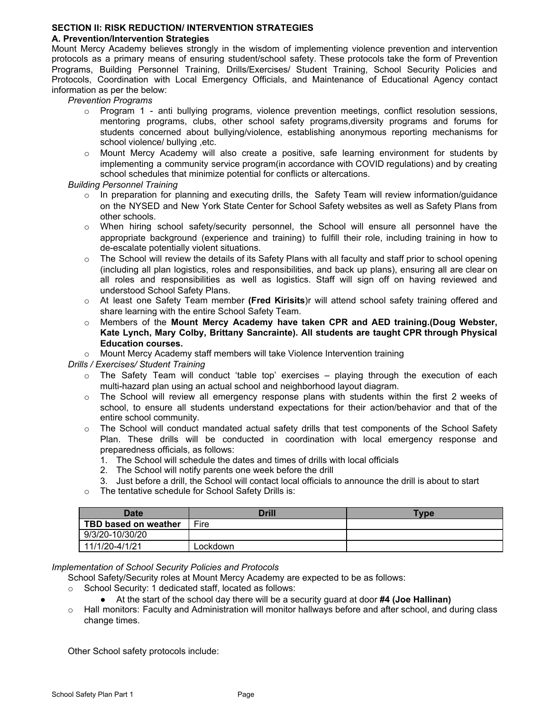#### **SECTION II: RISK REDUCTION/ INTERVENTION STRATEGIES**

#### **A. Prevention/Intervention Strategies**

Mount Mercy Academy believes strongly in the wisdom of implementing violence prevention and intervention protocols as a primary means of ensuring student/school safety. These protocols take the form of Prevention Programs, Building Personnel Training, Drills/Exercises/ Student Training, School Security Policies and Protocols, Coordination with Local Emergency Officials, and Maintenance of Educational Agency contact information as per the below:

*Prevention Programs*

- $\circ$  Program 1 anti bullying programs, violence prevention meetings, conflict resolution sessions, mentoring programs, clubs, other school safety programs,diversity programs and forums for students concerned about bullying/violence, establishing anonymous reporting mechanisms for school violence/ bullying ,etc.
- o Mount Mercy Academy will also create a positive, safe learning environment for students by implementing a community service program(in accordance with COVID regulations) and by creating school schedules that minimize potential for conflicts or altercations.

#### *Building Personnel Training*

- $\circ$  In preparation for planning and executing drills, the Safety Team will review information/guidance on the NYSED and New York State Center for School Safety websites as well as Safety Plans from other schools.
- o When hiring school safety/security personnel, the School will ensure all personnel have the appropriate background (experience and training) to fulfill their role, including training in how to de-escalate potentially violent situations.
- $\circ$  The School will review the details of its Safety Plans with all faculty and staff prior to school opening (including all plan logistics, roles and responsibilities, and back up plans), ensuring all are clear on all roles and responsibilities as well as logistics. Staff will sign off on having reviewed and understood School Safety Plans.
- o At least one Safety Team member **(Fred Kirisits**)r will attend school safety training offered and share learning with the entire School Safety Team.
- o Members of the **Mount Mercy Academy have taken CPR and AED training.(Doug Webster, Kate Lynch, Mary Colby, Brittany Sancrainte). All students are taught CPR through Physical Education courses.**

o Mount Mercy Academy staff members will take Violence Intervention training

#### *Drills / Exercises/ Student Training*

- $\circ$  The Safety Team will conduct 'table top' exercises playing through the execution of each multi-hazard plan using an actual school and neighborhood layout diagram.
- $\circ$  The School will review all emergency response plans with students within the first 2 weeks of school, to ensure all students understand expectations for their action/behavior and that of the entire school community.
- $\circ$  The School will conduct mandated actual safety drills that test components of the School Safety Plan. These drills will be conducted in coordination with local emergency response and preparedness officials, as follows:
	- 1. The School will schedule the dates and times of drills with local officials
	- 2. The School will notify parents one week before the drill
	- 3. Just before a drill, the School will contact local officials to announce the drill is about to start
- o The tentative schedule for School Safety Drills is:

| Date                 | <b>Drill</b> | <b>Type</b> |  |  |
|----------------------|--------------|-------------|--|--|
| TBD based on weather | Fire         |             |  |  |
| 9/3/20-10/30/20      |              |             |  |  |
| 11/1/20-4/1/21       | ∟ockdown     |             |  |  |

#### *Implementation of School Security Policies and Protocols*

School Safety/Security roles at Mount Mercy Academy are expected to be as follows:

- o School Security: 1 dedicated staff, located as follows:
	- At the start of the school day there will be a security guard at door **#4 (Joe Hallinan)**
- o Hall monitors: Faculty and Administration will monitor hallways before and after school, and during class change times.

Other School safety protocols include: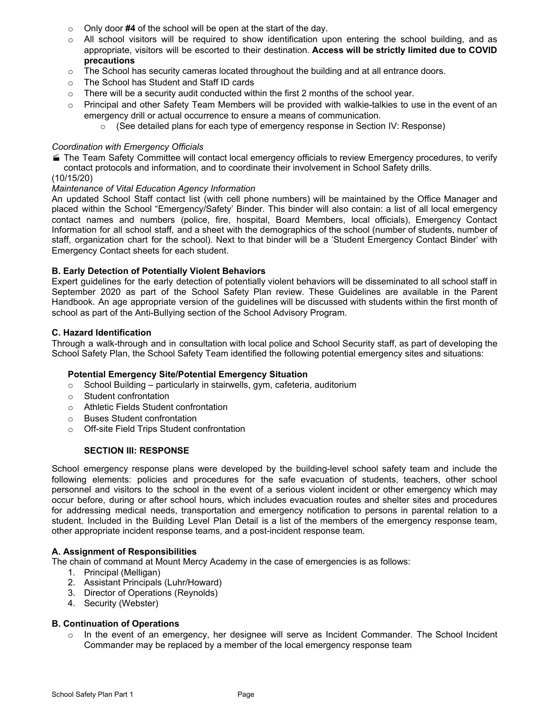- o Only door **#4** of the school will be open at the start of the day.
- $\circ$  All school visitors will be required to show identification upon entering the school building, and as appropriate, visitors will be escorted to their destination. **Access will be strictly limited due to COVID precautions**
- $\circ$  The School has security cameras located throughout the building and at all entrance doors.
- o The School has Student and Staff ID cards
- $\circ$  There will be a security audit conducted within the first 2 months of the school year.
- $\circ$  Principal and other Safety Team Members will be provided with walkie-talkies to use in the event of an emergency drill or actual occurrence to ensure a means of communication.
	- $\circ$  (See detailed plans for each type of emergency response in Section IV: Response)

#### *Coordination with Emergency Officials*

- The Team Safety Committee will contact local emergency officials to review Emergency procedures, to verify contact protocols and information, and to coordinate their involvement in School Safety drills.
- (10/15/20)

#### *Maintenance of Vital Education Agency Information*

An updated School Staff contact list (with cell phone numbers) will be maintained by the Office Manager and placed within the School "Emergency/Safety' Binder. This binder will also contain: a list of all local emergency contact names and numbers (police, fire, hospital, Board Members, local officials), Emergency Contact Information for all school staff, and a sheet with the demographics of the school (number of students, number of staff, organization chart for the school). Next to that binder will be a 'Student Emergency Contact Binder' with Emergency Contact sheets for each student.

#### **B. Early Detection of Potentially Violent Behaviors**

Expert guidelines for the early detection of potentially violent behaviors will be disseminated to all school staff in September 2020 as part of the School Safety Plan review. These Guidelines are available in the Parent Handbook. An age appropriate version of the guidelines will be discussed with students within the first month of school as part of the Anti-Bullying section of the School Advisory Program.

#### **C. Hazard Identification**

Through a walk-through and in consultation with local police and School Security staff, as part of developing the School Safety Plan, the School Safety Team identified the following potential emergency sites and situations:

#### **Potential Emergency Site/Potential Emergency Situation**

- o School Building particularly in stairwells, gym, cafeteria, auditorium
- o Student confrontation
- o Athletic Fields Student confrontation
- o Buses Student confrontation
- o Off-site Field Trips Student confrontation

#### **SECTION III: RESPONSE**

School emergency response plans were developed by the building-level school safety team and include the following elements: policies and procedures for the safe evacuation of students, teachers, other school personnel and visitors to the school in the event of a serious violent incident or other emergency which may occur before, during or after school hours, which includes evacuation routes and shelter sites and procedures for addressing medical needs, transportation and emergency notification to persons in parental relation to a student. Included in the Building Level Plan Detail is a list of the members of the emergency response team, other appropriate incident response teams, and a post-incident response team.

#### **A. Assignment of Responsibilities**

- The chain of command at Mount Mercy Academy in the case of emergencies is as follows:
	- 1. Principal (Melligan)
	- 2. Assistant Principals (Luhr/Howard)
	- 3. Director of Operations (Reynolds)
	- 4. Security (Webster)

#### **B. Continuation of Operations**

 $\circ$  In the event of an emergency, her designee will serve as Incident Commander. The School Incident Commander may be replaced by a member of the local emergency response team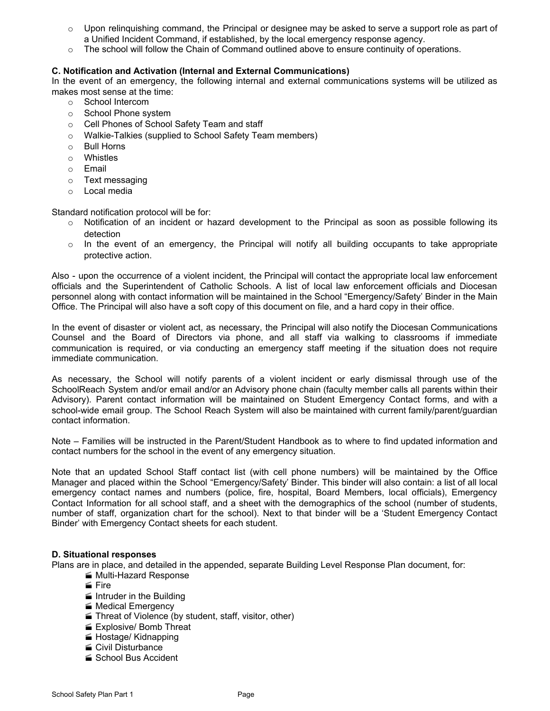- $\circ$  Upon relinguishing command, the Principal or designee may be asked to serve a support role as part of a Unified Incident Command, if established, by the local emergency response agency.
- $\circ$  The school will follow the Chain of Command outlined above to ensure continuity of operations.

#### **C. Notification and Activation (Internal and External Communications)**

In the event of an emergency, the following internal and external communications systems will be utilized as makes most sense at the time:

- o School Intercom
- o School Phone system
- o Cell Phones of School Safety Team and staff
- o Walkie-Talkies (supplied to School Safety Team members)
- o Bull Horns
- o Whistles
- o Email
- o Text messaging
- o Local media

Standard notification protocol will be for:

- $\circ$  Notification of an incident or hazard development to the Principal as soon as possible following its detection
- $\circ$  In the event of an emergency, the Principal will notify all building occupants to take appropriate protective action.

Also - upon the occurrence of a violent incident, the Principal will contact the appropriate local law enforcement officials and the Superintendent of Catholic Schools. A list of local law enforcement officials and Diocesan personnel along with contact information will be maintained in the School "Emergency/Safety' Binder in the Main Office. The Principal will also have a soft copy of this document on file, and a hard copy in their office.

In the event of disaster or violent act, as necessary, the Principal will also notify the Diocesan Communications Counsel and the Board of Directors via phone, and all staff via walking to classrooms if immediate communication is required, or via conducting an emergency staff meeting if the situation does not require immediate communication.

As necessary, the School will notify parents of a violent incident or early dismissal through use of the SchoolReach System and/or email and/or an Advisory phone chain (faculty member calls all parents within their Advisory). Parent contact information will be maintained on Student Emergency Contact forms, and with a school-wide email group. The School Reach System will also be maintained with current family/parent/guardian contact information.

Note – Families will be instructed in the Parent/Student Handbook as to where to find updated information and contact numbers for the school in the event of any emergency situation.

Note that an updated School Staff contact list (with cell phone numbers) will be maintained by the Office Manager and placed within the School "Emergency/Safety' Binder. This binder will also contain: a list of all local emergency contact names and numbers (police, fire, hospital, Board Members, local officials), Emergency Contact Information for all school staff, and a sheet with the demographics of the school (number of students, number of staff, organization chart for the school). Next to that binder will be a 'Student Emergency Contact Binder' with Emergency Contact sheets for each student.

#### **D. Situational responses**

Plans are in place, and detailed in the appended, separate Building Level Response Plan document, for:

- Multi-Hazard Response
	- $\leq$  Fire
- $\blacksquare$  Intruder in the Building
- **Medical Emergency**
- Threat of Violence (by student, staff, visitor, other)
- **Explosive/ Bomb Threat**
- **Hostage/ Kidnapping**
- Civil Disturbance
- School Bus Accident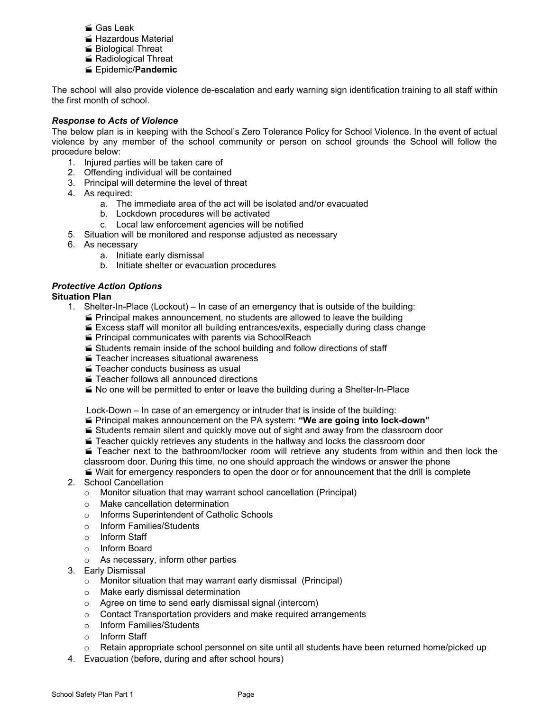- Gas Leak
- **Hazardous Material**
- Biological Threat
- Radiological Threat
- Epidemic/**Pandemic**

The school will also provide violence de-escalation and early warning sign identification training to all staff within the first month of school.

#### *Response to Acts of Violence*

The below plan is in keeping with the School's Zero Tolerance Policy for School Violence. In the event of actual violence by any member of the school community or person on school grounds the School will follow the procedure below:

- 1. Injured parties will be taken care of
- 2. Offending individual will be contained
- 3. Principal will determine the level of threat
- 4. As required:
	- a. The immediate area of the act will be isolated and/or evacuated
	- b. Lockdown procedures will be activated
	- c. Local law enforcement agencies will be notified
- 5. Situation will be monitored and response adjusted as necessary
- 6. As necessary
	- a. Initiate early dismissal
	- b. Initiate shelter or evacuation procedures

#### *Protective Action Options*

#### **Situation Plan**

- 1. Shelter-In-Place (Lockout) In case of an emergency that is outside of the building:
	- $\blacktriangleright$  Principal makes announcement, no students are allowed to leave the building
	- $\leq$  Excess staff will monitor all building entrances/exits, especially during class change
	- **Principal communicates with parents via SchoolReach**
	- $\leq$  Students remain inside of the school building and follow directions of staff
	- Teacher increases situational awareness
	- Teacher conducts business as usual
	- Teacher follows all announced directions
	- $\blacktriangle$  No one will be permitted to enter or leave the building during a Shelter-In-Place

Lock-Down – In case of an emergency or intruder that is inside of the building:

- Principal makes announcement on the PA system: **"We are going into lock-down"**
- $\leq$  Students remain silent and quickly move out of sight and away from the classroom door
- $\blacktriangle$  Teacher quickly retrieves any students in the hallway and locks the classroom door
- Teacher next to the bathroom/locker room will retrieve any students from within and then lock the classroom door. During this time, no one should approach the windows or answer the phone

 Wait for emergency responders to open the door or for announcement that the drill is complete 2. School Cancellation

- - o Monitor situation that may warrant school cancellation (Principal)
	- o Make cancellation determination
	- o Informs Superintendent of Catholic Schools
	- o Inform Families/Students
	- o Inform Staff
	- o Inform Board
	- o As necessary, inform other parties
- 3. Early Dismissal
	- o Monitor situation that may warrant early dismissal (Principal)
	- o Make early dismissal determination
	- o Agree on time to send early dismissal signal (intercom)
	- o Contact Transportation providers and make required arrangements
	- o Inform Families/Students
	- o Inform Staff
	- $\circ$  Retain appropriate school personnel on site until all students have been returned home/picked up
- 4. Evacuation (before, during and after school hours)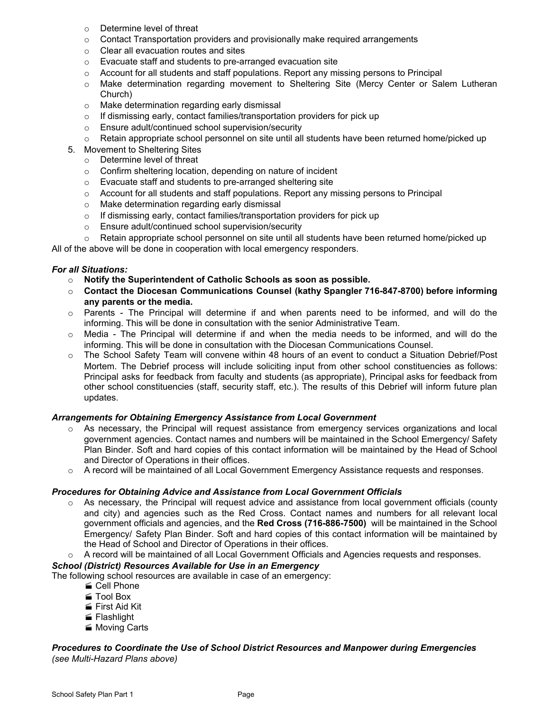- o Determine level of threat
- $\circ$  Contact Transportation providers and provisionally make required arrangements
- o Clear all evacuation routes and sites
- o Evacuate staff and students to pre-arranged evacuation site
- $\circ$  Account for all students and staff populations. Report any missing persons to Principal
- o Make determination regarding movement to Sheltering Site (Mercy Center or Salem Lutheran Church)
- o Make determination regarding early dismissal
- o If dismissing early, contact families/transportation providers for pick up
- o Ensure adult/continued school supervision/security
- o Retain appropriate school personnel on site until all students have been returned home/picked up
- 5. Movement to Sheltering Sites
	- o Determine level of threat
	- o Confirm sheltering location, depending on nature of incident
	- o Evacuate staff and students to pre-arranged sheltering site
	- $\circ$  Account for all students and staff populations. Report any missing persons to Principal
	- o Make determination regarding early dismissal
	- o If dismissing early, contact families/transportation providers for pick up
	- o Ensure adult/continued school supervision/security
- $\circ$  Retain appropriate school personnel on site until all students have been returned home/picked up

All of the above will be done in cooperation with local emergency responders.

#### *For all Situations:*

- o **Notify the Superintendent of Catholic Schools as soon as possible.**
- o **Contact the Diocesan Communications Counsel (kathy Spangler 716-847-8700) before informing any parents or the media.**
- $\circ$  Parents The Principal will determine if and when parents need to be informed, and will do the informing. This will be done in consultation with the senior Administrative Team.
- o Media The Principal will determine if and when the media needs to be informed, and will do the informing. This will be done in consultation with the Diocesan Communications Counsel.
- o The School Safety Team will convene within 48 hours of an event to conduct a Situation Debrief/Post Mortem. The Debrief process will include soliciting input from other school constituencies as follows: Principal asks for feedback from faculty and students (as appropriate), Principal asks for feedback from other school constituencies (staff, security staff, etc.). The results of this Debrief will inform future plan updates.

#### *Arrangements for Obtaining Emergency Assistance from Local Government*

- $\circ$  As necessary, the Principal will request assistance from emergency services organizations and local government agencies. Contact names and numbers will be maintained in the School Emergency/ Safety Plan Binder. Soft and hard copies of this contact information will be maintained by the Head of School and Director of Operations in their offices.
- o A record will be maintained of all Local Government Emergency Assistance requests and responses.

#### *Procedures for Obtaining Advice and Assistance from Local Government Officials*

- $\circ$  As necessary, the Principal will request advice and assistance from local government officials (county and city) and agencies such as the Red Cross. Contact names and numbers for all relevant local government officials and agencies, and the **Red Cross (716-886-7500)** will be maintained in the School Emergency/ Safety Plan Binder. Soft and hard copies of this contact information will be maintained by the Head of School and Director of Operations in their offices.
- A record will be maintained of all Local Government Officials and Agencies requests and responses.

#### *School (District) Resources Available for Use in an Emergency*

The following school resources are available in case of an emergency:

- Cell Phone
- Tool Box
- First Aid Kit
- **Flashlight**
- Moving Carts

#### *Procedures to Coordinate the Use of School District Resources and Manpower during Emergencies (see Multi-Hazard Plans above)*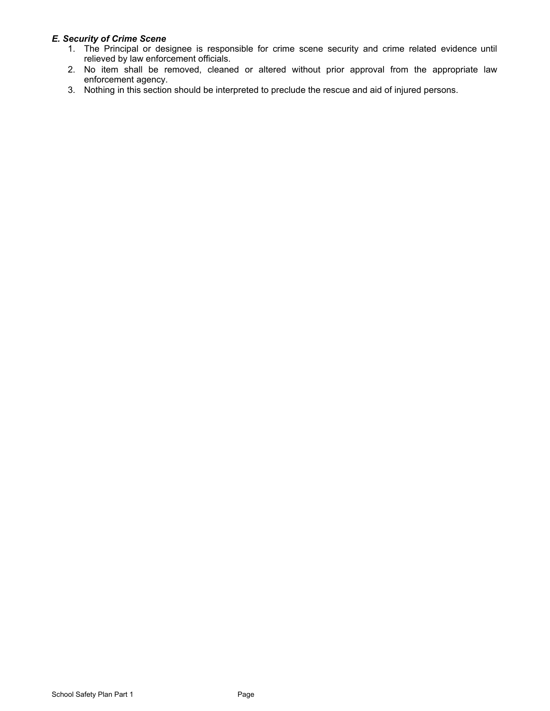#### *E. Security of Crime Scene*

- 1. The Principal or designee is responsible for crime scene security and crime related evidence until relieved by law enforcement officials.
- 2. No item shall be removed, cleaned or altered without prior approval from the appropriate law enforcement agency.
- 3. Nothing in this section should be interpreted to preclude the rescue and aid of injured persons.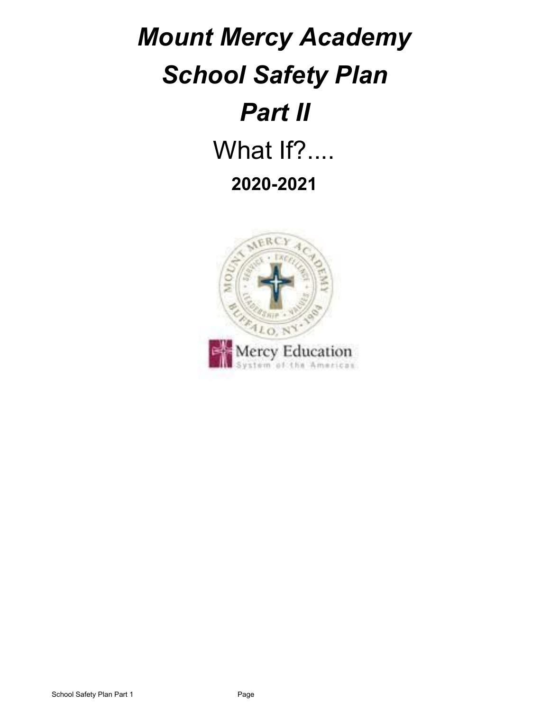# *Mount Mercy Academy School Safety Plan Part II* What If?.... **2020-2021**

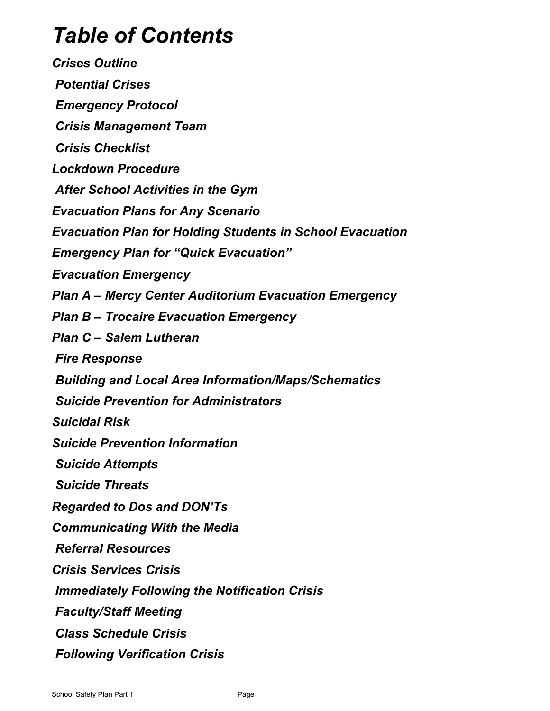## *Table of Contents*

*Crises Outline Potential Crises Emergency Protocol Crisis Management Team Crisis Checklist Lockdown Procedure After School Activities in the Gym Evacuation Plans for Any Scenario Evacuation Plan for Holding Students in School Evacuation Emergency Plan for "Quick Evacuation" Evacuation Emergency Plan A – Mercy Center Auditorium Evacuation Emergency Plan B – Trocaire Evacuation Emergency Plan C – Salem Lutheran Fire Response Building and Local Area Information/Maps/Schematics Suicide Prevention for Administrators Suicidal Risk Suicide Prevention Information Suicide Attempts Suicide Threats Regarded to Dos and DON'Ts Communicating With the Media Referral Resources Crisis Services Crisis Immediately Following the Notification Crisis Faculty/Staff Meeting Class Schedule Crisis Following Verification Crisis*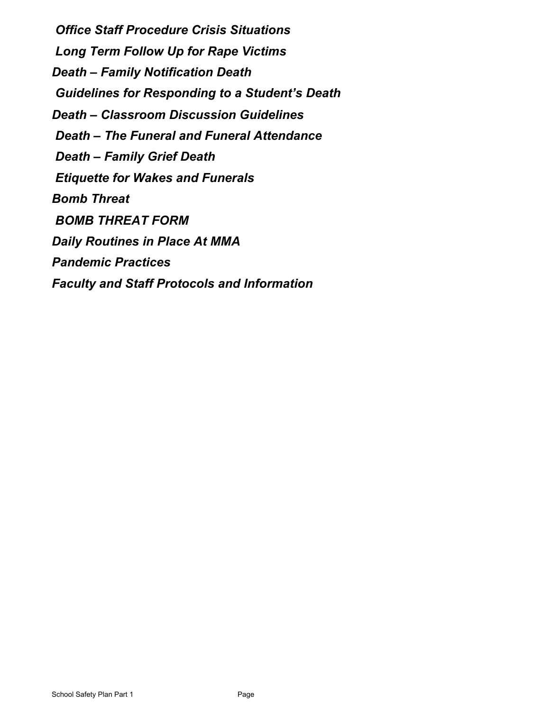*Office Staff Procedure Crisis Situations Long Term Follow Up for Rape Victims Death – Family Notification Death Guidelines for Responding to a Student's Death Death – Classroom Discussion Guidelines Death – The Funeral and Funeral Attendance Death – Family Grief Death Etiquette for Wakes and Funerals Bomb Threat BOMB THREAT FORM Daily Routines in Place At MMA Pandemic Practices Faculty and Staff Protocols and Information*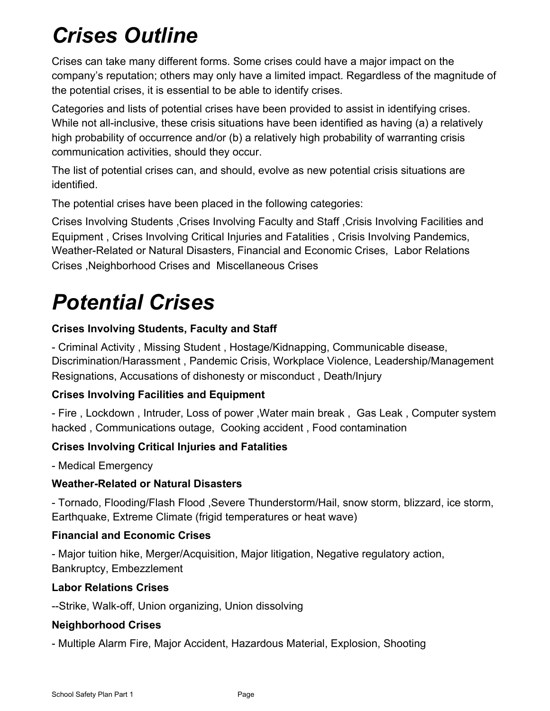## *Crises Outline*

Crises can take many different forms. Some crises could have a major impact on the company's reputation; others may only have a limited impact. Regardless of the magnitude of the potential crises, it is essential to be able to identify crises.

Categories and lists of potential crises have been provided to assist in identifying crises. While not all-inclusive, these crisis situations have been identified as having (a) a relatively high probability of occurrence and/or (b) a relatively high probability of warranting crisis communication activities, should they occur.

The list of potential crises can, and should, evolve as new potential crisis situations are identified.

The potential crises have been placed in the following categories:

Crises Involving Students ,Crises Involving Faculty and Staff ,Crisis Involving Facilities and Equipment , Crises Involving Critical Injuries and Fatalities , Crisis Involving Pandemics, Weather-Related or Natural Disasters, Financial and Economic Crises, Labor Relations Crises ,Neighborhood Crises and Miscellaneous Crises

## *Potential Crises*

## **Crises Involving Students, Faculty and Staff**

- Criminal Activity , Missing Student , Hostage/Kidnapping, Communicable disease, Discrimination/Harassment , Pandemic Crisis, Workplace Violence, Leadership/Management Resignations, Accusations of dishonesty or misconduct , Death/Injury

## **Crises Involving Facilities and Equipment**

- Fire , Lockdown , Intruder, Loss of power ,Water main break , Gas Leak , Computer system hacked , Communications outage, Cooking accident , Food contamination

## **Crises Involving Critical Injuries and Fatalities**

- Medical Emergency

### **Weather-Related or Natural Disasters**

- Tornado, Flooding/Flash Flood ,Severe Thunderstorm/Hail, snow storm, blizzard, ice storm, Earthquake, Extreme Climate (frigid temperatures or heat wave)

### **Financial and Economic Crises**

- Major tuition hike, Merger/Acquisition, Major litigation, Negative regulatory action, Bankruptcy, Embezzlement

### **Labor Relations Crises**

--Strike, Walk-off, Union organizing, Union dissolving

### **Neighborhood Crises**

- Multiple Alarm Fire, Major Accident, Hazardous Material, Explosion, Shooting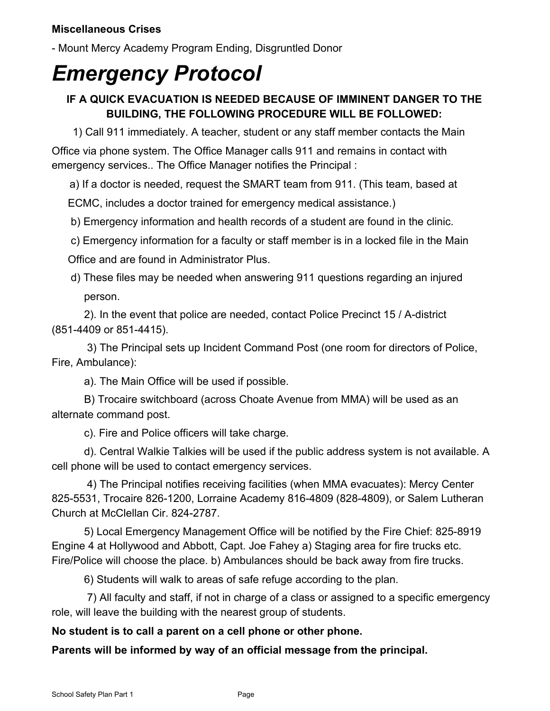- Mount Mercy Academy Program Ending, Disgruntled Donor

## *Emergency Protocol*

## **IF A QUICK EVACUATION IS NEEDED BECAUSE OF IMMINENT DANGER TO THE BUILDING, THE FOLLOWING PROCEDURE WILL BE FOLLOWED:**

1) Call 911 immediately. A teacher, student or any staff member contacts the Main

Office via phone system. The Office Manager calls 911 and remains in contact with emergency services.. The Office Manager notifies the Principal :

a) If a doctor is needed, request the SMART team from 911. (This team, based at

ECMC, includes a doctor trained for emergency medical assistance.)

b) Emergency information and health records of a student are found in the clinic.

 c) Emergency information for a faculty or staff member is in a locked file in the Main Office and are found in Administrator Plus.

 d) These files may be needed when answering 911 questions regarding an injured person.

2). In the event that police are needed, contact Police Precinct 15 / A-district (851-4409 or 851-4415).

 3) The Principal sets up Incident Command Post (one room for directors of Police, Fire, Ambulance):

a). The Main Office will be used if possible.

B) Trocaire switchboard (across Choate Avenue from MMA) will be used as an alternate command post.

c). Fire and Police officers will take charge.

d). Central Walkie Talkies will be used if the public address system is not available. A cell phone will be used to contact emergency services.

 4) The Principal notifies receiving facilities (when MMA evacuates): Mercy Center 825-5531, Trocaire 826-1200, Lorraine Academy 816-4809 (828-4809), or Salem Lutheran Church at McClellan Cir. 824-2787.

5) Local Emergency Management Office will be notified by the Fire Chief: 825-8919 Engine 4 at Hollywood and Abbott, Capt. Joe Fahey a) Staging area for fire trucks etc. Fire/Police will choose the place. b) Ambulances should be back away from fire trucks.

6) Students will walk to areas of safe refuge according to the plan.

 7) All faculty and staff, if not in charge of a class or assigned to a specific emergency role, will leave the building with the nearest group of students.

## **No student is to call a parent on a cell phone or other phone.**

**Parents will be informed by way of an official message from the principal.**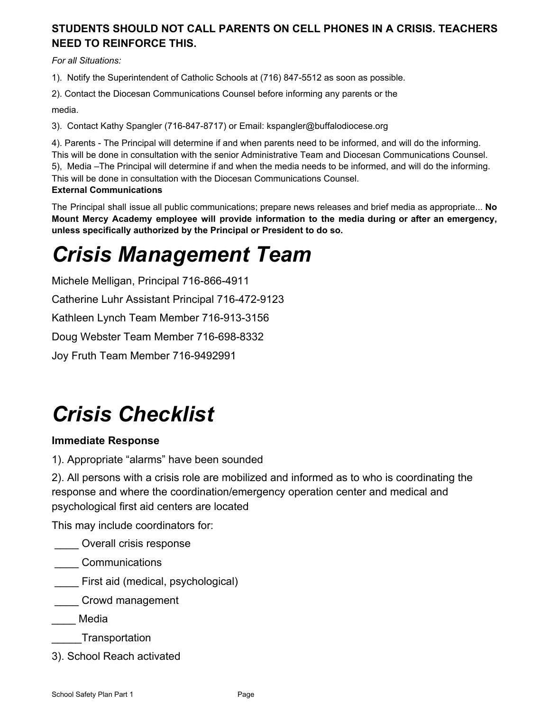## **STUDENTS SHOULD NOT CALL PARENTS ON CELL PHONES IN A CRISIS. TEACHERS NEED TO REINFORCE THIS.**

*For all Situations:*

1). Notify the Superintendent of Catholic Schools at (716) 847-5512 as soon as possible.

2). Contact the Diocesan Communications Counsel before informing any parents or the

media.

3). Contact Kathy Spangler (716-847-8717) or Email: kspangler@buffalodiocese.org

4). Parents - The Principal will determine if and when parents need to be informed, and will do the informing. This will be done in consultation with the senior Administrative Team and Diocesan Communications Counsel. 5), Media –The Principal will determine if and when the media needs to be informed, and will do the informing. This will be done in consultation with the Diocesan Communications Counsel. **External Communications**

The Principal shall issue all public communications; prepare news releases and brief media as appropriate... **No Mount Mercy Academy employee will provide information to the media during or after an emergency, unless specifically authorized by the Principal or President to do so.**

## *Crisis Management Team*

Michele Melligan, Principal 716-866-4911 Catherine Luhr Assistant Principal 716-472-9123 Kathleen Lynch Team Member 716-913-3156 Doug Webster Team Member 716-698-8332 Joy Fruth Team Member 716-9492991

## *Crisis Checklist*

## **Immediate Response**

1). Appropriate "alarms" have been sounded

2). All persons with a crisis role are mobilized and informed as to who is coordinating the response and where the coordination/emergency operation center and medical and psychological first aid centers are located

This may include coordinators for:

\_\_\_\_ Overall crisis response

- \_\_\_\_ Communications
- First aid (medical, psychological)

**Last Crowd management** 

\_\_\_\_ Media

- \_\_\_\_\_Transportation
- 3). School Reach activated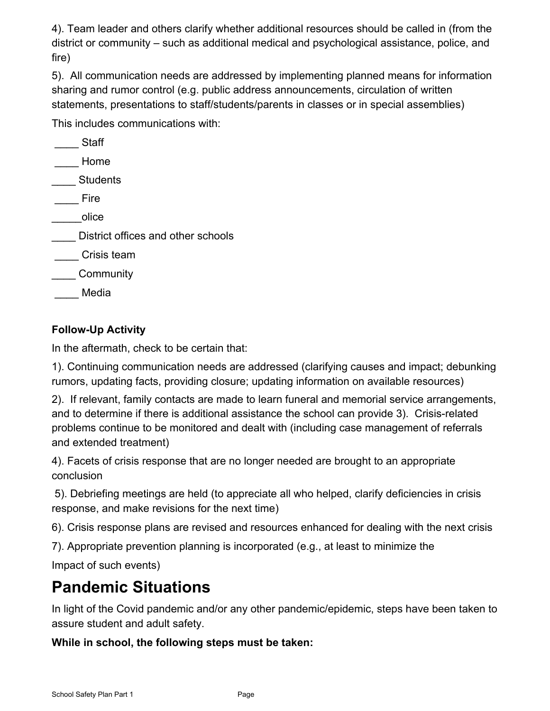4). Team leader and others clarify whether additional resources should be called in (from the district or community – such as additional medical and psychological assistance, police, and fire)

5). All communication needs are addressed by implementing planned means for information sharing and rumor control (e.g. public address announcements, circulation of written statements, presentations to staff/students/parents in classes or in special assemblies)

This includes communications with:

| <b>Staff</b>                       |
|------------------------------------|
| Home                               |
| <b>Students</b>                    |
| Fire                               |
| olice                              |
| District offices and other schools |
| Crisis team                        |
| Community                          |
| Media                              |

## **Follow-Up Activity**

In the aftermath, check to be certain that:

1). Continuing communication needs are addressed (clarifying causes and impact; debunking rumors, updating facts, providing closure; updating information on available resources)

2). If relevant, family contacts are made to learn funeral and memorial service arrangements, and to determine if there is additional assistance the school can provide 3). Crisis-related problems continue to be monitored and dealt with (including case management of referrals and extended treatment)

4). Facets of crisis response that are no longer needed are brought to an appropriate conclusion

 5). Debriefing meetings are held (to appreciate all who helped, clarify deficiencies in crisis response, and make revisions for the next time)

6). Crisis response plans are revised and resources enhanced for dealing with the next crisis

7). Appropriate prevention planning is incorporated (e.g., at least to minimize the

Impact of such events)

## **Pandemic Situations**

In light of the Covid pandemic and/or any other pandemic/epidemic, steps have been taken to assure student and adult safety.

**While in school, the following steps must be taken:**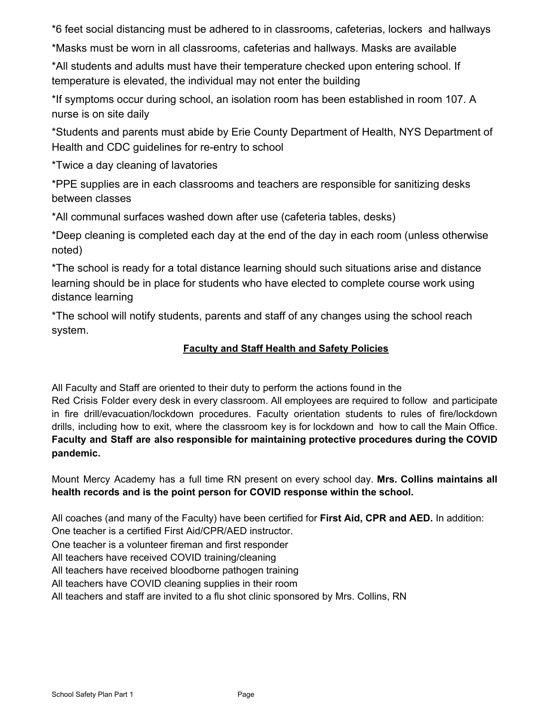\*6 feet social distancing must be adhered to in classrooms, cafeterias, lockers and hallways

\*Masks must be worn in all classrooms, cafeterias and hallways. Masks are available

\*All students and adults must have their temperature checked upon entering school. If temperature is elevated, the individual may not enter the building

\*If symptoms occur during school, an isolation room has been established in room 107. A nurse is on site daily

\*Students and parents must abide by Erie County Department of Health, NYS Department of Health and CDC guidelines for re-entry to school

\*Twice a day cleaning of lavatories

\*PPE supplies are in each classrooms and teachers are responsible for sanitizing desks between classes

\*All communal surfaces washed down after use (cafeteria tables, desks)

\*Deep cleaning is completed each day at the end of the day in each room (unless otherwise noted)

\*The school is ready for a total distance learning should such situations arise and distance learning should be in place for students who have elected to complete course work using distance learning

\*The school will notify students, parents and staff of any changes using the school reach system.

### **Faculty and Staff Health and Safety Policies**

All Faculty and Staff are oriented to their duty to perform the actions found in the

Red Crisis Folder every desk in every classroom. All employees are required to follow and participate in fire drill/evacuation/lockdown procedures. Faculty orientation students to rules of fire/lockdown drills, including how to exit, where the classroom key is for lockdown and how to call the Main Office. **Faculty and Staff are also responsible for maintaining protective procedures during the COVID pandemic.**

Mount Mercy Academy has a full time RN present on every school day. **Mrs. Collins maintains all health records and is the point person for COVID response within the school.**

All coaches (and many of the Faculty) have been certified for **First Aid, CPR and AED.** In addition:

One teacher is a certified First Aid/CPR/AED instructor.

One teacher is a volunteer fireman and first responder

All teachers have received COVID training/cleaning

All teachers have received bloodborne pathogen training

All teachers have COVID cleaning supplies in their room

All teachers and staff are invited to a flu shot clinic sponsored by Mrs. Collins, RN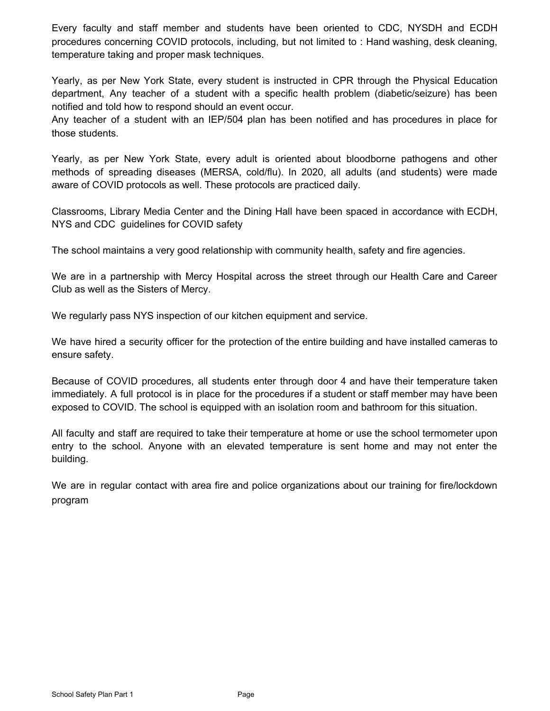Every faculty and staff member and students have been oriented to CDC, NYSDH and ECDH procedures concerning COVID protocols, including, but not limited to : Hand washing, desk cleaning, temperature taking and proper mask techniques.

Yearly, as per New York State, every student is instructed in CPR through the Physical Education department, Any teacher of a student with a specific health problem (diabetic/seizure) has been notified and told how to respond should an event occur.

Any teacher of a student with an IEP/504 plan has been notified and has procedures in place for those students.

Yearly, as per New York State, every adult is oriented about bloodborne pathogens and other methods of spreading diseases (MERSA, cold/flu). In 2020, all adults (and students) were made aware of COVID protocols as well. These protocols are practiced daily.

Classrooms, Library Media Center and the Dining Hall have been spaced in accordance with ECDH, NYS and CDC guidelines for COVID safety

The school maintains a very good relationship with community health, safety and fire agencies.

We are in a partnership with Mercy Hospital across the street through our Health Care and Career Club as well as the Sisters of Mercy.

We regularly pass NYS inspection of our kitchen equipment and service.

We have hired a security officer for the protection of the entire building and have installed cameras to ensure safety.

Because of COVID procedures, all students enter through door 4 and have their temperature taken immediately. A full protocol is in place for the procedures if a student or staff member may have been exposed to COVID. The school is equipped with an isolation room and bathroom for this situation.

All faculty and staff are required to take their temperature at home or use the school termometer upon entry to the school. Anyone with an elevated temperature is sent home and may not enter the building.

We are in regular contact with area fire and police organizations about our training for fire/lockdown program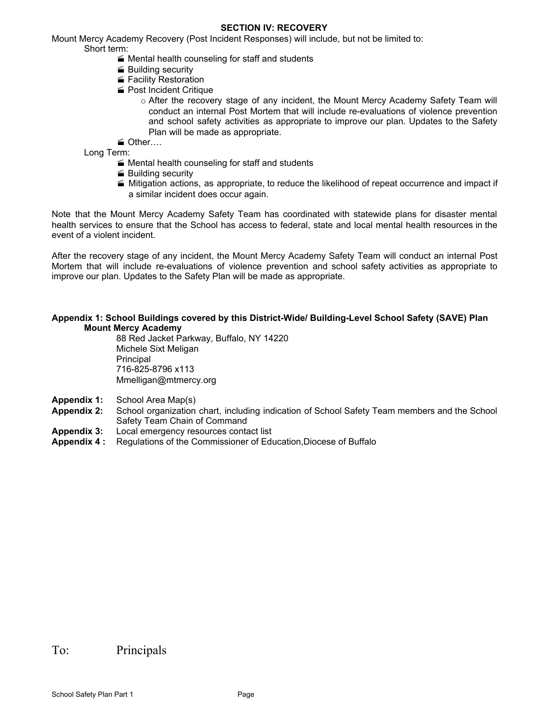#### **SECTION IV: RECOVERY**

Mount Mercy Academy Recovery (Post Incident Responses) will include, but not be limited to: Short term:

- $\blacktriangleright$  Mental health counseling for staff and students
- **Building security**
- Facility Restoration
- Post Incident Critique
	- o After the recovery stage of any incident, the Mount Mercy Academy Safety Team will conduct an internal Post Mortem that will include re-evaluations of violence prevention and school safety activities as appropriate to improve our plan. Updates to the Safety Plan will be made as appropriate.

Other….

Long Term:

- $\blacktriangleright$  Mental health counseling for staff and students
- **Building security**
- $\blacktriangle$  Mitigation actions, as appropriate, to reduce the likelihood of repeat occurrence and impact if a similar incident does occur again.

Note that the Mount Mercy Academy Safety Team has coordinated with statewide plans for disaster mental health services to ensure that the School has access to federal, state and local mental health resources in the event of a violent incident.

After the recovery stage of any incident, the Mount Mercy Academy Safety Team will conduct an internal Post Mortem that will include re-evaluations of violence prevention and school safety activities as appropriate to improve our plan. Updates to the Safety Plan will be made as appropriate.

#### **Appendix 1: School Buildings covered by this District-Wide/ Building-Level School Safety (SAVE) Plan Mount Mercy Academy**

88 Red Jacket Parkway, Buffalo, NY 14220 Michele Sixt Meligan **Principal** 716-825-8796 x113 Mmelligan@mtmercy.org

- **Appendix 1:** School Area Map(s)
- **Appendix 2:** School organization chart, including indication of School Safety Team members and the School Safety Team Chain of Command
- **Appendix 3:** Local emergency resources contact list
- **Appendix 4 :** Regulations of the Commissioner of Education,Diocese of Buffalo

#### To: Principals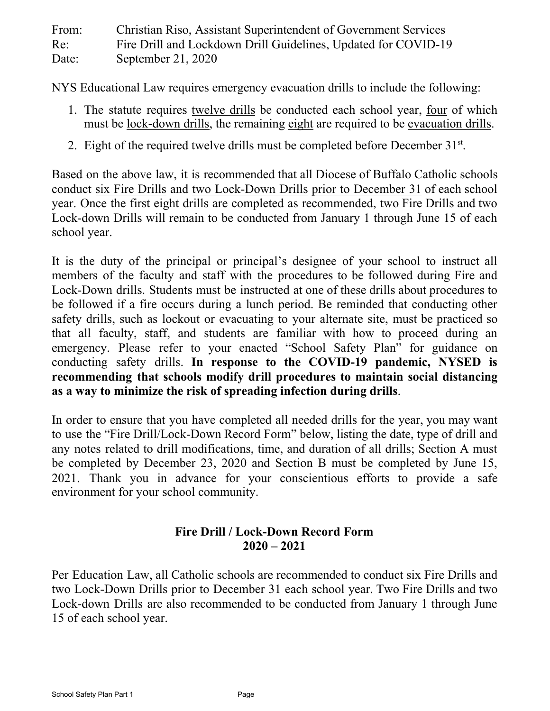| From: | Christian Riso, Assistant Superintendent of Government Services |
|-------|-----------------------------------------------------------------|
| Re:   | Fire Drill and Lockdown Drill Guidelines, Updated for COVID-19  |
| Date: | September 21, 2020                                              |

NYS Educational Law requires emergency evacuation drills to include the following:

- 1. The statute requires twelve drills be conducted each school year, four of which must be lock-down drills, the remaining eight are required to be evacuation drills.
- 2. Eight of the required twelve drills must be completed before December 31<sup>st</sup>.

Based on the above law, it is recommended that all Diocese of Buffalo Catholic schools conduct six Fire Drills and two Lock-Down Drills prior to December 31 of each school year. Once the first eight drills are completed as recommended, two Fire Drills and two Lock-down Drills will remain to be conducted from January 1 through June 15 of each school year.

It is the duty of the principal or principal's designee of your school to instruct all members of the faculty and staff with the procedures to be followed during Fire and Lock-Down drills. Students must be instructed at one of these drills about procedures to be followed if a fire occurs during a lunch period. Be reminded that conducting other safety drills, such as lockout or evacuating to your alternate site, must be practiced so that all faculty, staff, and students are familiar with how to proceed during an emergency. Please refer to your enacted "School Safety Plan" for guidance on conducting safety drills. **In response to the COVID-19 pandemic, NYSED is recommending that schools modify drill procedures to maintain social distancing as a way to minimize the risk of spreading infection during drills**.

In order to ensure that you have completed all needed drills for the year, you may want to use the "Fire Drill/Lock-Down Record Form" below, listing the date, type of drill and any notes related to drill modifications, time, and duration of all drills; Section A must be completed by December 23, 2020 and Section B must be completed by June 15, 2021. Thank you in advance for your conscientious efforts to provide a safe environment for your school community.

## **Fire Drill / Lock-Down Record Form 2020 – 2021**

Per Education Law, all Catholic schools are recommended to conduct six Fire Drills and two Lock-Down Drills prior to December 31 each school year. Two Fire Drills and two Lock-down Drills are also recommended to be conducted from January 1 through June 15 of each school year.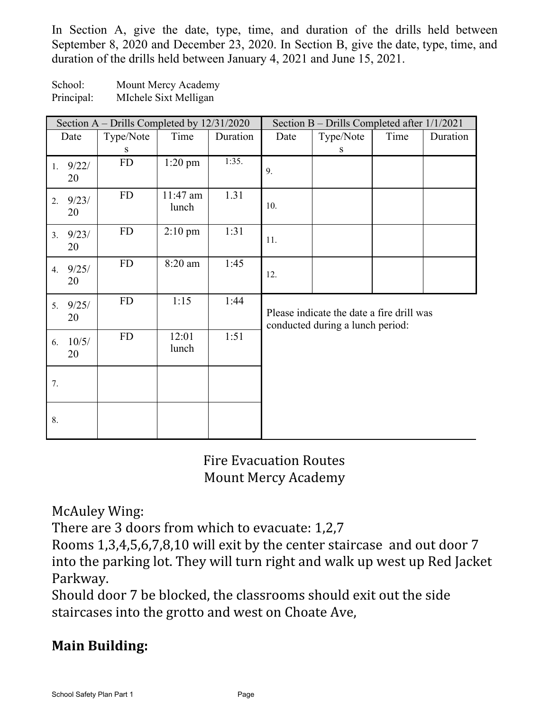In Section A, give the date, type, time, and duration of the drills held between September 8, 2020 and December 23, 2020. In Section B, give the date, type, time, and duration of the drills held between January 4, 2021 and June 15, 2021.

School: Mount Mercy Academy Principal: MIchele Sixt Melligan

| Section A – Drills Completed by 12/31/2020 |             |           |                   | Section B – Drills Completed after 1/1/2021 |                                                                               |           |      |          |
|--------------------------------------------|-------------|-----------|-------------------|---------------------------------------------|-------------------------------------------------------------------------------|-----------|------|----------|
|                                            | Date        | Type/Note | Time              | Duration                                    | Date                                                                          | Type/Note | Time | Duration |
|                                            |             | S         |                   |                                             |                                                                               | S         |      |          |
| 1.                                         | 9/22/<br>20 | FD        | $1:20$ pm         | 1:35.                                       | 9.                                                                            |           |      |          |
| 2.                                         | 9/23/<br>20 | FD        | 11:47 am<br>lunch | 1.31                                        | 10.                                                                           |           |      |          |
| 3.                                         | 9/23/<br>20 | FD        | $2:10$ pm         | 1:31                                        | 11.                                                                           |           |      |          |
| 4.                                         | 9/25/<br>20 | FD        | 8:20 am           | 1:45                                        | 12.                                                                           |           |      |          |
| 5.                                         | 9/25/<br>20 | FD        | 1:15              | 1:44                                        | Please indicate the date a fire drill was<br>conducted during a lunch period: |           |      |          |
| 6.                                         | 10/5/<br>20 | <b>FD</b> | 12:01<br>lunch    | 1:51                                        |                                                                               |           |      |          |
| 7.                                         |             |           |                   |                                             |                                                                               |           |      |          |
| 8.                                         |             |           |                   |                                             |                                                                               |           |      |          |

Fire Evacuation Routes Mount Mercy Academy

McAuley Wing:

There are 3 doors from which to evacuate: 1,2,7

Rooms 1,3,4,5,6,7,8,10 will exit by the center staircase and out door 7 into the parking lot. They will turn right and walk up west up Red Jacket Parkway.

Should door 7 be blocked, the classrooms should exit out the side staircases into the grotto and west on Choate Ave,

## **Main Building:**